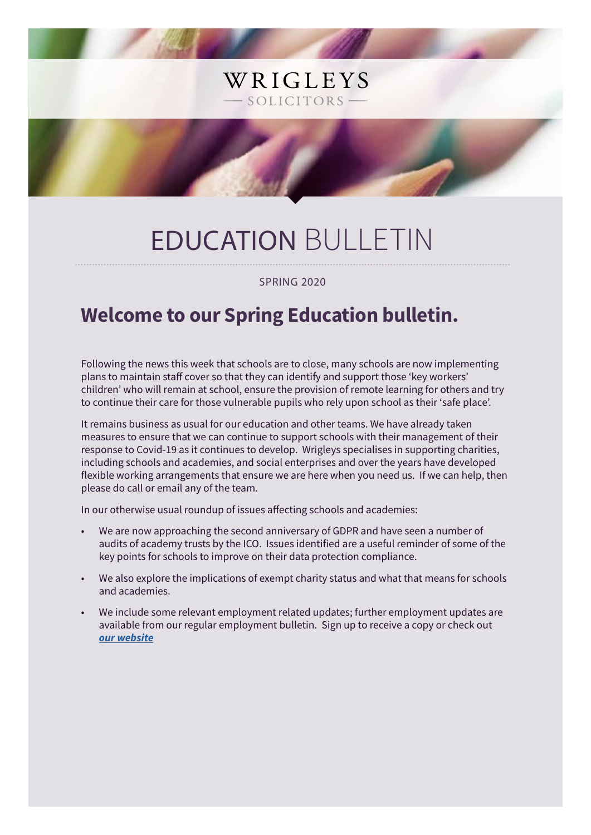# EDUCATION BULLETIN

WRIGLEYS

SOLICITORS -

#### SPRING 2020

# **Welcome to our Spring Education bulletin.**

Following the news this week that schools are to close, many schools are now implementing plans to maintain staff cover so that they can identify and support those 'key workers' children' who will remain at school, ensure the provision of remote learning for others and try to continue their care for those vulnerable pupils who rely upon school as their 'safe place'.

It remains business as usual for our education and other teams. We have already taken measures to ensure that we can continue to support schools with their management of their response to Covid-19 as it continues to develop. Wrigleys specialises in supporting charities, including schools and academies, and social enterprises and over the years have developed flexible working arrangements that ensure we are here when you need us. If we can help, then please do call or email any of the team.

In our otherwise usual roundup of issues affecting schools and academies:

- We are now approaching the second anniversary of GDPR and have seen a number of audits of academy trusts by the ICO. Issues identified are a useful reminder of some of the key points for schools to improve on their data protection compliance.
- We also explore the implications of exempt charity status and what that means for schools and academies.
- We include some relevant employment related updates; further employment updates are available from our regular employment bulletin. Sign up to receive a copy or check out *[our website](https://www.wrigleys.co.uk/publications/)*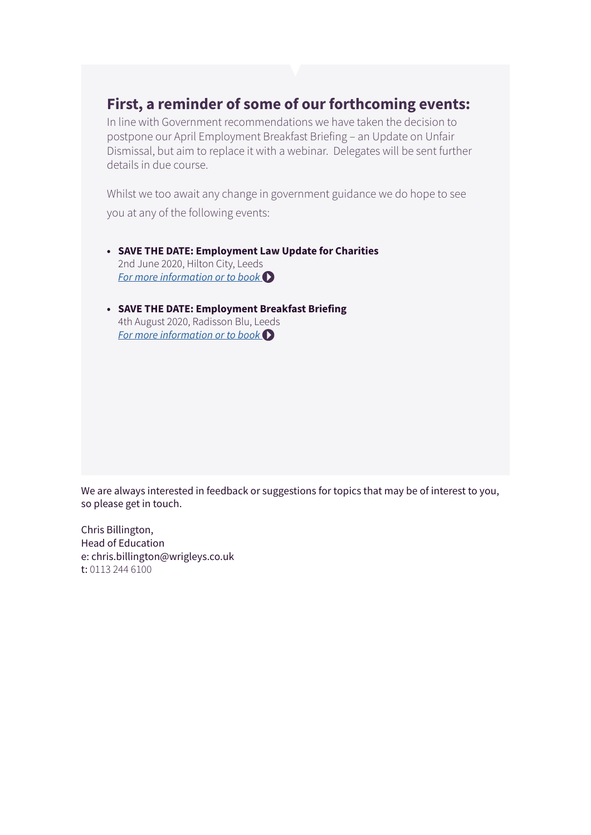### **First, a reminder of some of our forthcoming events:**

In line with Government recommendations we have taken the decision to postpone our April Employment Breakfast Briefing – an Update on Unfair Dismissal, but aim to replace it with a webinar. Delegates will be sent further details in due course.

Whilst we too await any change in government guidance we do hope to see you at any of the following events:

- **• SAVE THE DATE: Employment Law Update for Charities** 2nd June 2020, Hilton City, Leeds *[For more information or to book](https://www.wrigleys.co.uk/events/detail/save-the-date-employment-law-update-for-charities---2-june-2020/)*
- **• SAVE THE DATE: Employment Breakfast Briefing** 4th August 2020, Radisson Blu, Leeds *[For more information or to book](https://www.wrigleys.co.uk/events/detail/save-the-date-employment-breakfast-briefing-04082020/)*

We are always interested in feedback or suggestions for topics that may be of interest to you, so please get in touch.

Chris Billington, Head of Education e: chris.billington@wrigleys.co.uk t: 0113 244 6100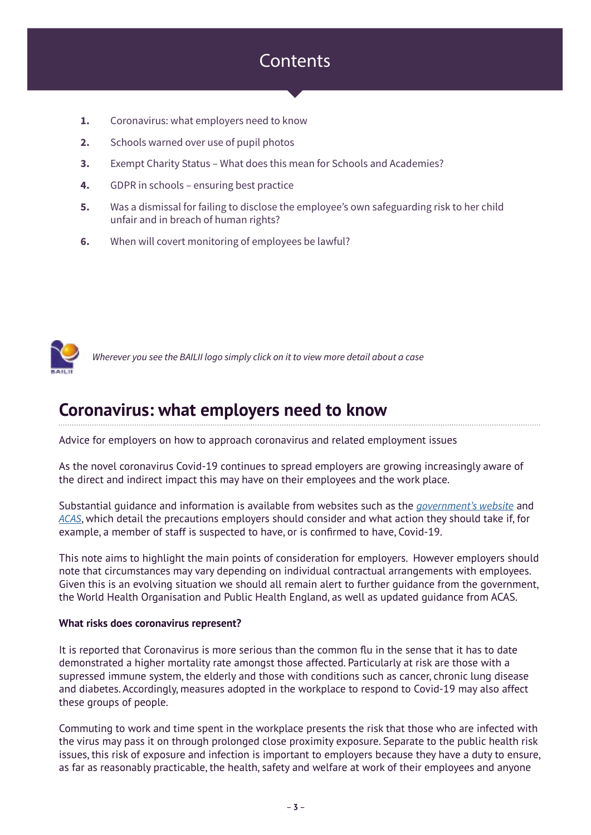### **Contents**

- **1.** Coronavirus: what employers need to know
- **2.** Schools warned over use of pupil photos
- **3.** Exempt Charity Status What does this mean for Schools and Academies?
- **4.** GDPR in schools ensuring best practice
- **5.** Was a dismissal for failing to disclose the employee's own safeguarding risk to her child unfair and in breach of human rights?
- **6.** When will covert monitoring of employees be lawful?



*Wherever you see the BAILII logo simply click on it to view more detail about a case*

### **Coronavirus: what employers need to know**

Advice for employers on how to approach coronavirus and related employment issues

As the novel coronavirus Covid-19 continues to spread employers are growing increasingly aware of the direct and indirect impact this may have on their employees and the work place.

Substantial guidance and information is available from websites such as the *[government's website](https://www.gov.uk/government/publications/guidance-to-employers-and-businesses-about-covid-19)* and *[ACAS](https://www.acas.org.uk/coronavirus)*, which detail the precautions employers should consider and what action they should take if, for example, a member of staff is suspected to have, or is confirmed to have, Covid-19.

This note aims to highlight the main points of consideration for employers. However employers should note that circumstances may vary depending on individual contractual arrangements with employees. Given this is an evolving situation we should all remain alert to further guidance from the government, the World Health Organisation and Public Health England, as well as updated guidance from ACAS.

#### **What risks does coronavirus represent?**

It is reported that Coronavirus is more serious than the common flu in the sense that it has to date demonstrated a higher mortality rate amongst those affected. Particularly at risk are those with a supressed immune system, the elderly and those with conditions such as cancer, chronic lung disease and diabetes. Accordingly, measures adopted in the workplace to respond to Covid-19 may also affect these groups of people.

Commuting to work and time spent in the workplace presents the risk that those who are infected with the virus may pass it on through prolonged close proximity exposure. Separate to the public health risk issues, this risk of exposure and infection is important to employers because they have a duty to ensure, as far as reasonably practicable, the health, safety and welfare at work of their employees and anyone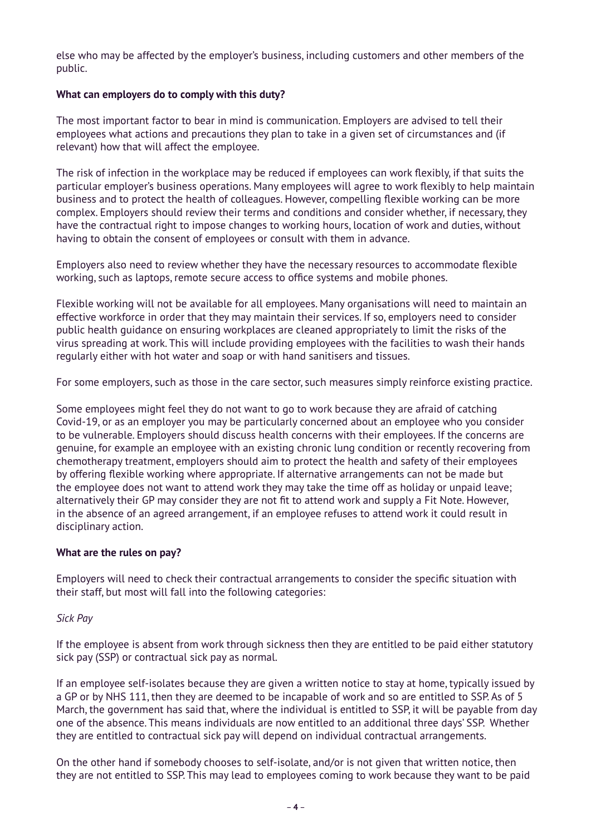else who may be affected by the employer's business, including customers and other members of the public.

### **What can employers do to comply with this duty?**

The most important factor to bear in mind is communication. Employers are advised to tell their employees what actions and precautions they plan to take in a given set of circumstances and (if relevant) how that will affect the employee.

The risk of infection in the workplace may be reduced if employees can work flexibly, if that suits the particular employer's business operations. Many employees will agree to work flexibly to help maintain business and to protect the health of colleagues. However, compelling flexible working can be more complex. Employers should review their terms and conditions and consider whether, if necessary, they have the contractual right to impose changes to working hours, location of work and duties, without having to obtain the consent of employees or consult with them in advance.

Employers also need to review whether they have the necessary resources to accommodate flexible working, such as laptops, remote secure access to office systems and mobile phones.

Flexible working will not be available for all employees. Many organisations will need to maintain an effective workforce in order that they may maintain their services. If so, employers need to consider public health guidance on ensuring workplaces are cleaned appropriately to limit the risks of the virus spreading at work. This will include providing employees with the facilities to wash their hands regularly either with hot water and soap or with hand sanitisers and tissues.

For some employers, such as those in the care sector, such measures simply reinforce existing practice.

Some employees might feel they do not want to go to work because they are afraid of catching Covid-19, or as an employer you may be particularly concerned about an employee who you consider to be vulnerable. Employers should discuss health concerns with their employees. If the concerns are genuine, for example an employee with an existing chronic lung condition or recently recovering from chemotherapy treatment, employers should aim to protect the health and safety of their employees by offering flexible working where appropriate. If alternative arrangements can not be made but the employee does not want to attend work they may take the time off as holiday or unpaid leave; alternatively their GP may consider they are not fit to attend work and supply a Fit Note. However, in the absence of an agreed arrangement, if an employee refuses to attend work it could result in disciplinary action.

### **What are the rules on pay?**

Employers will need to check their contractual arrangements to consider the specific situation with their staff, but most will fall into the following categories:

#### *Sick Pay*

If the employee is absent from work through sickness then they are entitled to be paid either statutory sick pay (SSP) or contractual sick pay as normal.

If an employee self-isolates because they are given a written notice to stay at home, typically issued by a GP or by NHS 111, then they are deemed to be incapable of work and so are entitled to SSP. As of 5 March, the government has said that, where the individual is entitled to SSP, it will be payable from day one of the absence. This means individuals are now entitled to an additional three days' SSP. Whether they are entitled to contractual sick pay will depend on individual contractual arrangements.

On the other hand if somebody chooses to self-isolate, and/or is not given that written notice, then they are not entitled to SSP. This may lead to employees coming to work because they want to be paid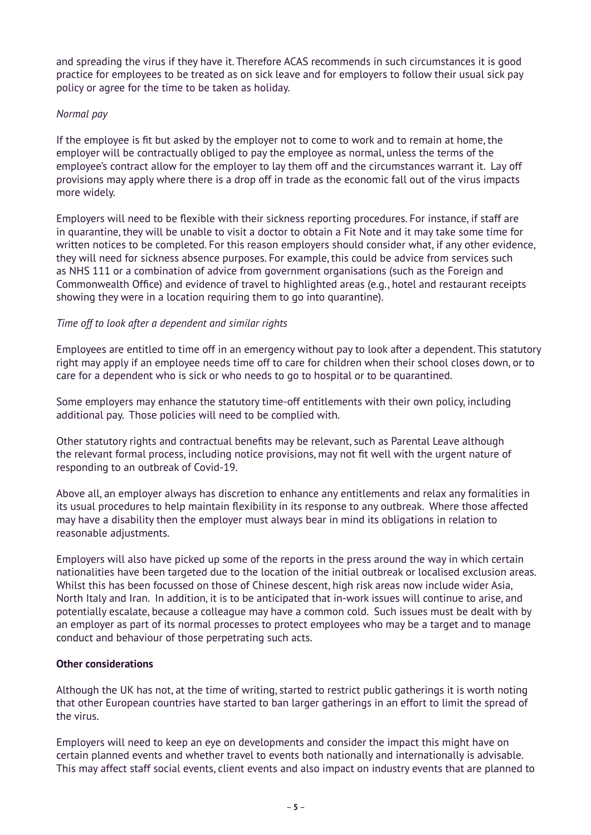and spreading the virus if they have it. Therefore ACAS recommends in such circumstances it is good practice for employees to be treated as on sick leave and for employers to follow their usual sick pay policy or agree for the time to be taken as holiday.

### *Normal pay*

If the employee is fit but asked by the employer not to come to work and to remain at home, the employer will be contractually obliged to pay the employee as normal, unless the terms of the employee's contract allow for the employer to lay them off and the circumstances warrant it. Lay off provisions may apply where there is a drop off in trade as the economic fall out of the virus impacts more widely.

Employers will need to be flexible with their sickness reporting procedures. For instance, if staff are in quarantine, they will be unable to visit a doctor to obtain a Fit Note and it may take some time for written notices to be completed. For this reason employers should consider what, if any other evidence, they will need for sickness absence purposes. For example, this could be advice from services such as NHS 111 or a combination of advice from government organisations (such as the Foreign and Commonwealth Office) and evidence of travel to highlighted areas (e.g., hotel and restaurant receipts showing they were in a location requiring them to go into quarantine).

### *Time off to look after a dependent and similar rights*

Employees are entitled to time off in an emergency without pay to look after a dependent. This statutory right may apply if an employee needs time off to care for children when their school closes down, or to care for a dependent who is sick or who needs to go to hospital or to be quarantined.

Some employers may enhance the statutory time-off entitlements with their own policy, including additional pay. Those policies will need to be complied with.

Other statutory rights and contractual benefits may be relevant, such as Parental Leave although the relevant formal process, including notice provisions, may not fit well with the urgent nature of responding to an outbreak of Covid-19.

Above all, an employer always has discretion to enhance any entitlements and relax any formalities in its usual procedures to help maintain flexibility in its response to any outbreak. Where those affected may have a disability then the employer must always bear in mind its obligations in relation to reasonable adjustments.

Employers will also have picked up some of the reports in the press around the way in which certain nationalities have been targeted due to the location of the initial outbreak or localised exclusion areas. Whilst this has been focussed on those of Chinese descent, high risk areas now include wider Asia, North Italy and Iran. In addition, it is to be anticipated that in-work issues will continue to arise, and potentially escalate, because a colleague may have a common cold. Such issues must be dealt with by an employer as part of its normal processes to protect employees who may be a target and to manage conduct and behaviour of those perpetrating such acts.

### **Other considerations**

Although the UK has not, at the time of writing, started to restrict public gatherings it is worth noting that other European countries have started to ban larger gatherings in an effort to limit the spread of the virus.

Employers will need to keep an eye on developments and consider the impact this might have on certain planned events and whether travel to events both nationally and internationally is advisable. This may affect staff social events, client events and also impact on industry events that are planned to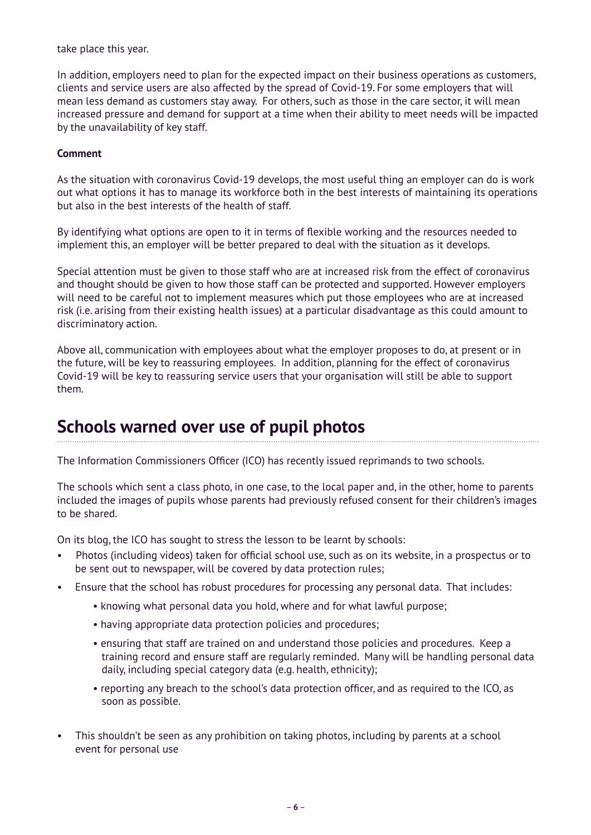take place this year.

In addition, employers need to plan for the expected impact on their business operations as customers, clients and service users are also affected by the spread of Covid-19. For some employers that will mean less demand as customers stay away. For others, such as those in the care sector, it will mean increased pressure and demand for support at a time when their ability to meet needs will be impacted by the unavailability of key staff.

### **Comment**

As the situation with coronavirus Covid-19 develops, the most useful thing an employer can do is work out what options it has to manage its workforce both in the best interests of maintaining its operations but also in the best interests of the health of staff.

By identifying what options are open to it in terms of flexible working and the resources needed to implement this, an employer will be better prepared to deal with the situation as it develops.

Special attention must be given to those staff who are at increased risk from the effect of coronavirus and thought should be given to how those staff can be protected and supported. However employers will need to be careful not to implement measures which put those employees who are at increased risk (i.e. arising from their existing health issues) at a particular disadvantage as this could amount to discriminatory action.

Above all, communication with employees about what the employer proposes to do, at present or in the future, will be key to reassuring employees. In addition, planning for the effect of coronavirus Covid-19 will be key to reassuring service users that your organisation will still be able to support them.

### **Schools warned over use of pupil photos**

The Information Commissioners Officer (ICO) has recently issued reprimands to two schools.

The schools which sent a class photo, in one case, to the local paper and, in the other, home to parents included the images of pupils whose parents had previously refused consent for their children's images to be shared.

On its blog, the ICO has sought to stress the lesson to be learnt by schools:

- Photos (including videos) taken for official school use, such as on its website, in a prospectus or to be sent out to newspaper, will be covered by data protection rules;
- Ensure that the school has robust procedures for processing any personal data. That includes:
	- knowing what personal data you hold, where and for what lawful purpose;
	- having appropriate data protection policies and procedures;
	- ensuring that staff are trained on and understand those policies and procedures. Keep a training record and ensure staff are regularly reminded. Many will be handling personal data daily, including special category data (e.g. health, ethnicity);
	- reporting any breach to the school's data protection officer, and as required to the ICO, as soon as possible.
- This shouldn't be seen as any prohibition on taking photos, including by parents at a school event for personal use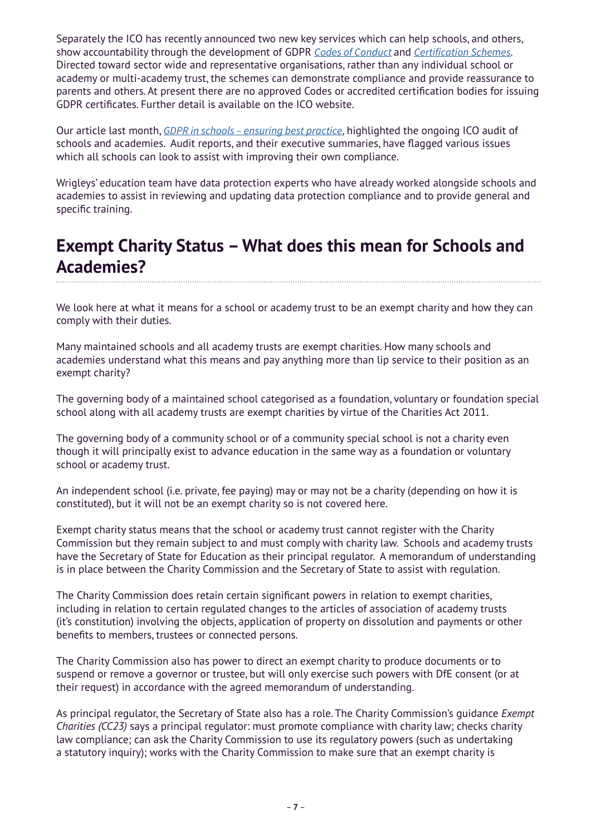Separately the ICO has recently announced two new key services which can help schools, and others, show accountability through the development of GDPR *[Codes of Conduct](https://ico.org.uk/for-organisations/guide-to-data-protection/guide-to-the-general-data-protection-regulation-gdpr/accountability-and-governance/codes-of-conduct/)* and *[Certification Schemes](https://ico.org.uk/for-organisations/guide-to-data-protection/guide-to-the-general-data-protection-regulation-gdpr/accountability-and-governance/certification/)*. Directed toward sector wide and representative organisations, rather than any individual school or academy or multi-academy trust, the schemes can demonstrate compliance and provide reassurance to parents and others. At present there are no approved Codes or accredited certification bodies for issuing GDPR certificates. Further detail is available on the ICO website.

Our article last month, *[GDPR in schools – ensuring best practice](https://www.wrigleys.co.uk/news/education/gdpr-in-schools--ensuring-best-practice/)*, highlighted the ongoing ICO audit of schools and academies. Audit reports, and their executive summaries, have flagged various issues which all schools can look to assist with improving their own compliance.

Wrigleys' education team have data protection experts who have already worked alongside schools and academies to assist in reviewing and updating data protection compliance and to provide general and specific training.

### **Exempt Charity Status – What does this mean for Schools and Academies?**

We look here at what it means for a school or academy trust to be an exempt charity and how they can comply with their duties.

Many maintained schools and all academy trusts are exempt charities. How many schools and academies understand what this means and pay anything more than lip service to their position as an exempt charity?

The governing body of a maintained school categorised as a foundation, voluntary or foundation special school along with all academy trusts are exempt charities by virtue of the Charities Act 2011.

The governing body of a community school or of a community special school is not a charity even though it will principally exist to advance education in the same way as a foundation or voluntary school or academy trust.

An independent school (i.e. private, fee paying) may or may not be a charity (depending on how it is constituted), but it will not be an exempt charity so is not covered here.

Exempt charity status means that the school or academy trust cannot register with the Charity Commission but they remain subject to and must comply with charity law. Schools and academy trusts have the Secretary of State for Education as their principal regulator. A memorandum of understanding is in place between the Charity Commission and the Secretary of State to assist with regulation.

The Charity Commission does retain certain significant powers in relation to exempt charities, including in relation to certain regulated changes to the articles of association of academy trusts (it's constitution) involving the objects, application of property on dissolution and payments or other benefits to members, trustees or connected persons.

The Charity Commission also has power to direct an exempt charity to produce documents or to suspend or remove a governor or trustee, but will only exercise such powers with DfE consent (or at their request) in accordance with the agreed memorandum of understanding.

As principal regulator, the Secretary of State also has a role. The Charity Commission's guidance *Exempt Charities (CC23)* says a principal regulator: must promote compliance with charity law; checks charity law compliance; can ask the Charity Commission to use its regulatory powers (such as undertaking a statutory inquiry); works with the Charity Commission to make sure that an exempt charity is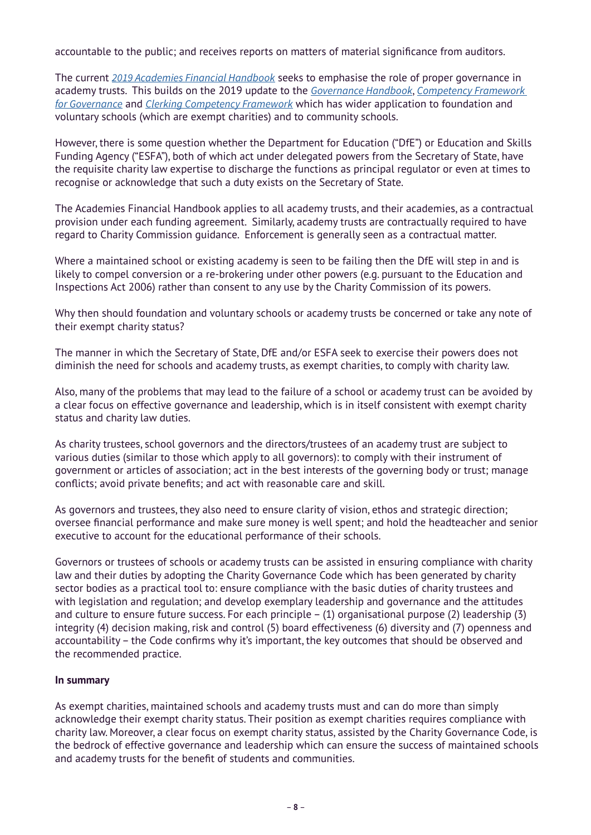accountable to the public; and receives reports on matters of material significance from auditors.

The current *[2019 Academies Financial Handbook](https://www.gov.uk/guidance/academies-financial-handbook)* seeks to emphasise the role of proper governance in academy trusts. This builds on the 2019 update to the *[Governance Handbook](https://assets.publishing.service.gov.uk/government/uploads/system/uploads/attachment_data/file/788234/governance_handbook_2019.pdf)*, *[Competency Framework](https://assets.publishing.service.gov.uk/government/uploads/system/uploads/attachment_data/file/583733/Competency_framework_for_governance_.pdf)  [for Governance](https://assets.publishing.service.gov.uk/government/uploads/system/uploads/attachment_data/file/583733/Competency_framework_for_governance_.pdf)* and *[Clerking Competency Framework](https://assets.publishing.service.gov.uk/government/uploads/system/uploads/attachment_data/file/609971/Clerking_competency_framework.pdf)* which has wider application to foundation and voluntary schools (which are exempt charities) and to community schools.

However, there is some question whether the Department for Education ("DfE") or Education and Skills Funding Agency ("ESFA"), both of which act under delegated powers from the Secretary of State, have the requisite charity law expertise to discharge the functions as principal regulator or even at times to recognise or acknowledge that such a duty exists on the Secretary of State.

The Academies Financial Handbook applies to all academy trusts, and their academies, as a contractual provision under each funding agreement. Similarly, academy trusts are contractually required to have regard to Charity Commission guidance. Enforcement is generally seen as a contractual matter.

Where a maintained school or existing academy is seen to be failing then the DfE will step in and is likely to compel conversion or a re-brokering under other powers (e.g. pursuant to the Education and Inspections Act 2006) rather than consent to any use by the Charity Commission of its powers.

Why then should foundation and voluntary schools or academy trusts be concerned or take any note of their exempt charity status?

The manner in which the Secretary of State, DfE and/or ESFA seek to exercise their powers does not diminish the need for schools and academy trusts, as exempt charities, to comply with charity law.

Also, many of the problems that may lead to the failure of a school or academy trust can be avoided by a clear focus on effective governance and leadership, which is in itself consistent with exempt charity status and charity law duties.

As charity trustees, school governors and the directors/trustees of an academy trust are subject to various duties (similar to those which apply to all governors): to comply with their instrument of government or articles of association; act in the best interests of the governing body or trust; manage conflicts; avoid private benefits; and act with reasonable care and skill.

As governors and trustees, they also need to ensure clarity of vision, ethos and strategic direction; oversee financial performance and make sure money is well spent; and hold the headteacher and senior executive to account for the educational performance of their schools.

Governors or trustees of schools or academy trusts can be assisted in ensuring compliance with charity law and their duties by adopting the Charity Governance Code which has been generated by charity sector bodies as a practical tool to: ensure compliance with the basic duties of charity trustees and with legislation and regulation; and develop exemplary leadership and governance and the attitudes and culture to ensure future success. For each principle – (1) organisational purpose (2) leadership (3) integrity (4) decision making, risk and control (5) board effectiveness (6) diversity and (7) openness and accountability – the Code confirms why it's important, the key outcomes that should be observed and the recommended practice.

#### **In summary**

As exempt charities, maintained schools and academy trusts must and can do more than simply acknowledge their exempt charity status. Their position as exempt charities requires compliance with charity law. Moreover, a clear focus on exempt charity status, assisted by the Charity Governance Code, is the bedrock of effective governance and leadership which can ensure the success of maintained schools and academy trusts for the benefit of students and communities.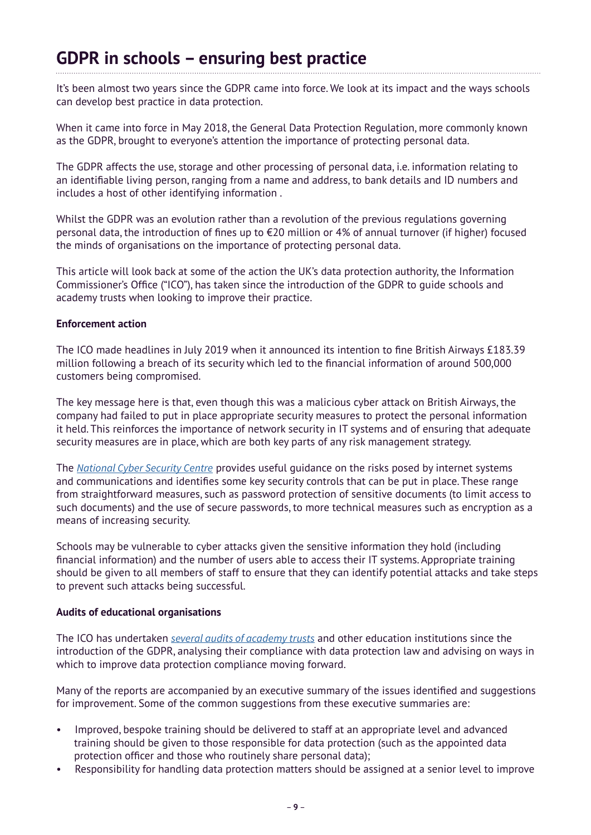### **GDPR in schools – ensuring best practice**

It's been almost two years since the GDPR came into force. We look at its impact and the ways schools can develop best practice in data protection.

When it came into force in May 2018, the General Data Protection Regulation, more commonly known as the GDPR, brought to everyone's attention the importance of protecting personal data.

The GDPR affects the use, storage and other processing of personal data, i.e. information relating to an identifiable living person, ranging from a name and address, to bank details and ID numbers and includes a host of other identifying information .

Whilst the GDPR was an evolution rather than a revolution of the previous regulations governing personal data, the introduction of fines up to €20 million or 4% of annual turnover (if higher) focused the minds of organisations on the importance of protecting personal data.

This article will look back at some of the action the UK's data protection authority, the Information Commissioner's Office ("ICO"), has taken since the introduction of the GDPR to guide schools and academy trusts when looking to improve their practice.

#### **Enforcement action**

The ICO made headlines in July 2019 when it announced its intention to fine British Airways £183.39 million following a breach of its security which led to the financial information of around 500,000 customers being compromised.

The key message here is that, even though this was a malicious cyber attack on British Airways, the company had failed to put in place appropriate security measures to protect the personal information it held. This reinforces the importance of network security in IT systems and of ensuring that adequate security measures are in place, which are both key parts of any risk management strategy.

The *[National Cyber Security Centre](https://www.ncsc.gov.uk/)* provides useful guidance on the risks posed by internet systems and communications and identifies some key security controls that can be put in place. These range from straightforward measures, such as password protection of sensitive documents (to limit access to such documents) and the use of secure passwords, to more technical measures such as encryption as a means of increasing security.

Schools may be vulnerable to cyber attacks given the sensitive information they hold (including financial information) and the number of users able to access their IT systems. Appropriate training should be given to all members of staff to ensure that they can identify potential attacks and take steps to prevent such attacks being successful.

### **Audits of educational organisations**

The ICO has undertaken *[several audits of academy trusts](https://ico.org.uk/action-weve-taken/audits-advisory-visits-and-overview-reports/?facet_type=&facet_sector=Education+and+childcare&facet_date=&date_from=&date_to=)* and other education institutions since the introduction of the GDPR, analysing their compliance with data protection law and advising on ways in which to improve data protection compliance moving forward.

Many of the reports are accompanied by an executive summary of the issues identified and suggestions for improvement. Some of the common suggestions from these executive summaries are:

- Improved, bespoke training should be delivered to staff at an appropriate level and advanced training should be given to those responsible for data protection (such as the appointed data protection officer and those who routinely share personal data);
- Responsibility for handling data protection matters should be assigned at a senior level to improve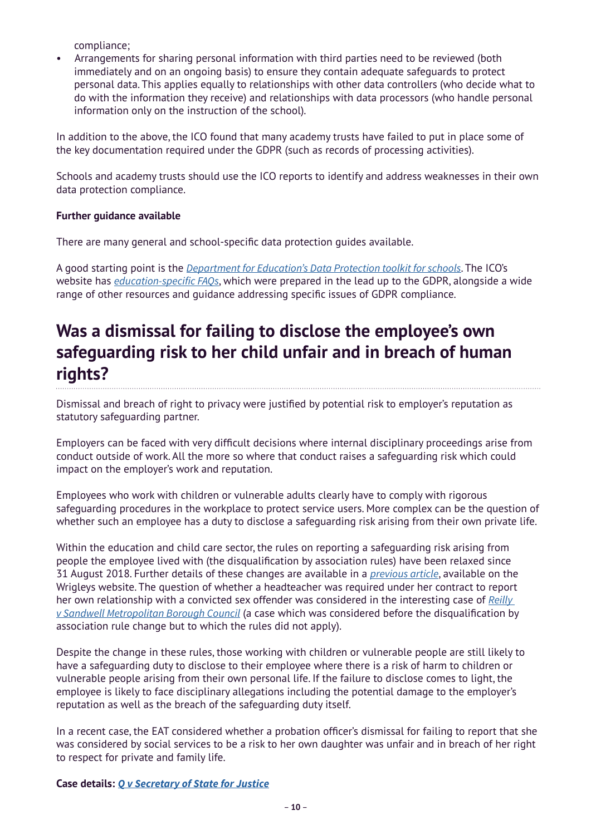compliance;

• Arrangements for sharing personal information with third parties need to be reviewed (both immediately and on an ongoing basis) to ensure they contain adequate safeguards to protect personal data. This applies equally to relationships with other data controllers (who decide what to do with the information they receive) and relationships with data processors (who handle personal information only on the instruction of the school).

In addition to the above, the ICO found that many academy trusts have failed to put in place some of the key documentation required under the GDPR (such as records of processing activities).

Schools and academy trusts should use the ICO reports to identify and address weaknesses in their own data protection compliance.

### **Further guidance available**

There are many general and school-specific data protection guides available.

A good starting point is the *[Department for Education's Data Protection toolkit for schools](https://www.gov.uk/government/publications/data-protection-toolkit-for-schools)*. The ICO's website has *[education-specific FAQs](https://ico.org.uk/for-organisations/in-your-sector/education/education-gdpr-faqs/)*, which were prepared in the lead up to the GDPR, alongside a wide range of other resources and guidance addressing specific issues of GDPR compliance.

# **Was a dismissal for failing to disclose the employee's own safeguarding risk to her child unfair and in breach of human rights?**

Dismissal and breach of right to privacy were justified by potential risk to employer's reputation as statutory safeguarding partner.

Employers can be faced with very difficult decisions where internal disciplinary proceedings arise from conduct outside of work. All the more so where that conduct raises a safeguarding risk which could impact on the employer's work and reputation.

Employees who work with children or vulnerable adults clearly have to comply with rigorous safeguarding procedures in the workplace to protect service users. More complex can be the question of whether such an employee has a duty to disclose a safeguarding risk arising from their own private life.

Within the education and child care sector, the rules on reporting a safeguarding risk arising from people the employee lived with (the disqualification by association rules) have been relaxed since 31 August 2018. Further details of these changes are available in a *[previous article](https://www.wrigleys.co.uk/news/education/school-and-nursery-staff-no-longer-have-to-disclose-association-with-sex-offenders/)*, available on the Wrigleys website. The question of whether a headteacher was required under her contract to report her own relationship with a convicted sex offender was considered in the interesting case of *[Reilly](https://www.wrigleys.co.uk/news/education/headteacher-should-have-disclosed-her-relationship-with-a-child-sex-offender-even-though-she-had-no-statutory-duty-to-do-so/)  [v Sandwell Metropolitan Borough Council](https://www.wrigleys.co.uk/news/education/headteacher-should-have-disclosed-her-relationship-with-a-child-sex-offender-even-though-she-had-no-statutory-duty-to-do-so/)* (a case which was considered before the disqualification by association rule change but to which the rules did not apply).

Despite the change in these rules, those working with children or vulnerable people are still likely to have a safeguarding duty to disclose to their employee where there is a risk of harm to children or vulnerable people arising from their own personal life. If the failure to disclose comes to light, the employee is likely to face disciplinary allegations including the potential damage to the employer's reputation as well as the breach of the safeguarding duty itself.

In a recent case, the EAT considered whether a probation officer's dismissal for failing to report that she was considered by social services to be a risk to her own daughter was unfair and in breach of her right to respect for private and family life.

**Case details:** *[Q v Secretary of State for Justice](https://www.gov.uk/employment-appeal-tribunal-decisions/q-v-secretary-of-state-for-justice-ukeat-0120-19-joj)*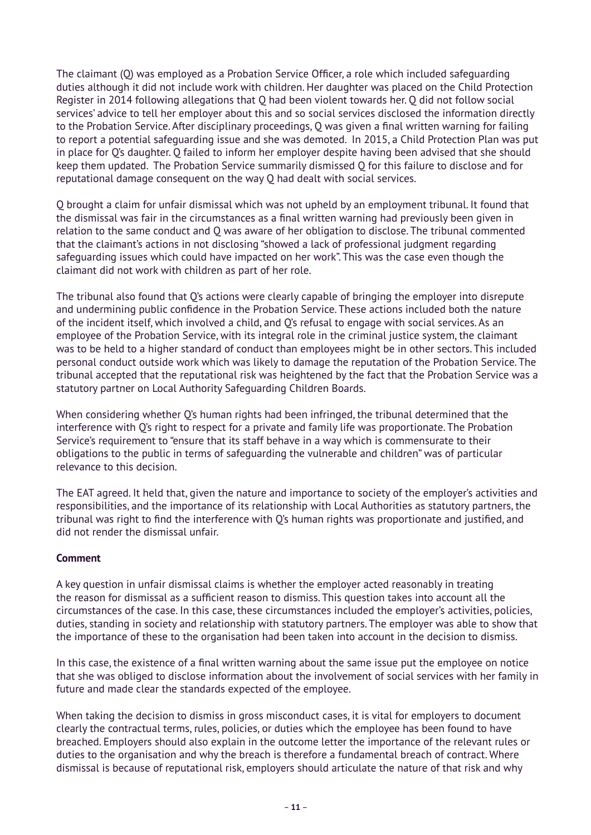The claimant (Q) was employed as a Probation Service Officer, a role which included safeguarding duties although it did not include work with children. Her daughter was placed on the Child Protection Register in 2014 following allegations that Q had been violent towards her. Q did not follow social services' advice to tell her employer about this and so social services disclosed the information directly to the Probation Service. After disciplinary proceedings, Q was given a final written warning for failing to report a potential safeguarding issue and she was demoted. In 2015, a Child Protection Plan was put in place for Q's daughter. Q failed to inform her employer despite having been advised that she should keep them updated. The Probation Service summarily dismissed Q for this failure to disclose and for reputational damage consequent on the way Q had dealt with social services.

Q brought a claim for unfair dismissal which was not upheld by an employment tribunal. It found that the dismissal was fair in the circumstances as a final written warning had previously been given in relation to the same conduct and Q was aware of her obligation to disclose. The tribunal commented that the claimant's actions in not disclosing "showed a lack of professional judgment regarding safeguarding issues which could have impacted on her work". This was the case even though the claimant did not work with children as part of her role.

The tribunal also found that Q's actions were clearly capable of bringing the employer into disrepute and undermining public confidence in the Probation Service. These actions included both the nature of the incident itself, which involved a child, and Q's refusal to engage with social services. As an employee of the Probation Service, with its integral role in the criminal justice system, the claimant was to be held to a higher standard of conduct than employees might be in other sectors. This included personal conduct outside work which was likely to damage the reputation of the Probation Service. The tribunal accepted that the reputational risk was heightened by the fact that the Probation Service was a statutory partner on Local Authority Safeguarding Children Boards.

When considering whether Q's human rights had been infringed, the tribunal determined that the interference with Q's right to respect for a private and family life was proportionate. The Probation Service's requirement to "ensure that its staff behave in a way which is commensurate to their obligations to the public in terms of safeguarding the vulnerable and children" was of particular relevance to this decision.

The EAT agreed. It held that, given the nature and importance to society of the employer's activities and responsibilities, and the importance of its relationship with Local Authorities as statutory partners, the tribunal was right to find the interference with Q's human rights was proportionate and justified, and did not render the dismissal unfair.

### **Comment**

A key question in unfair dismissal claims is whether the employer acted reasonably in treating the reason for dismissal as a sufficient reason to dismiss. This question takes into account all the circumstances of the case. In this case, these circumstances included the employer's activities, policies, duties, standing in society and relationship with statutory partners. The employer was able to show that the importance of these to the organisation had been taken into account in the decision to dismiss.

In this case, the existence of a final written warning about the same issue put the employee on notice that she was obliged to disclose information about the involvement of social services with her family in future and made clear the standards expected of the employee.

When taking the decision to dismiss in gross misconduct cases, it is vital for employers to document clearly the contractual terms, rules, policies, or duties which the employee has been found to have breached. Employers should also explain in the outcome letter the importance of the relevant rules or duties to the organisation and why the breach is therefore a fundamental breach of contract. Where dismissal is because of reputational risk, employers should articulate the nature of that risk and why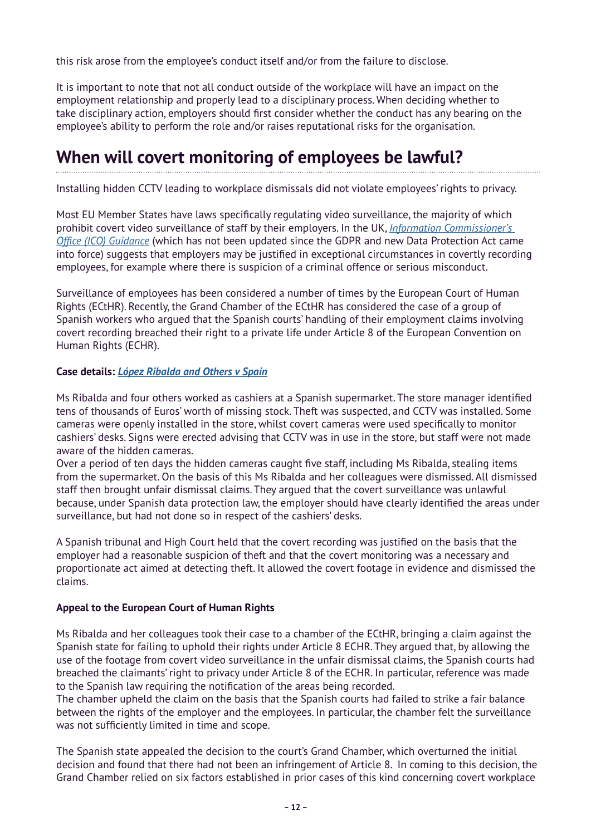this risk arose from the employee's conduct itself and/or from the failure to disclose.

It is important to note that not all conduct outside of the workplace will have an impact on the employment relationship and properly lead to a disciplinary process. When deciding whether to take disciplinary action, employers should first consider whether the conduct has any bearing on the employee's ability to perform the role and/or raises reputational risks for the organisation.

### **When will covert monitoring of employees be lawful?**

Installing hidden CCTV leading to workplace dismissals did not violate employees' rights to privacy.

Most EU Member States have laws specifically regulating video surveillance, the majority of which prohibit covert video surveillance of staff by their employers. In the UK, *[Information Commissioner's](https://ico.org.uk/media/for-organisations/documents/1064/the_employment_practices_code.pdf)  [Office \(ICO\) Guidance](https://ico.org.uk/media/for-organisations/documents/1064/the_employment_practices_code.pdf)* (which has not been updated since the GDPR and new Data Protection Act came into force) suggests that employers may be justified in exceptional circumstances in covertly recording employees, for example where there is suspicion of a criminal offence or serious misconduct.

Surveillance of employees has been considered a number of times by the European Court of Human Rights (ECtHR). Recently, the Grand Chamber of the ECtHR has considered the case of a group of Spanish workers who argued that the Spanish courts' handling of their employment claims involving covert recording breached their right to a private life under Article 8 of the European Convention on Human Rights (ECHR).

### **Case details:** *[López Ribalda and Others v Spain](https://hudoc.echr.coe.int/fre#{%22itemid%22:[%22001-197098%22]})*

Ms Ribalda and four others worked as cashiers at a Spanish supermarket. The store manager identified tens of thousands of Euros' worth of missing stock. Theft was suspected, and CCTV was installed. Some cameras were openly installed in the store, whilst covert cameras were used specifically to monitor cashiers' desks. Signs were erected advising that CCTV was in use in the store, but staff were not made aware of the hidden cameras.

Over a period of ten days the hidden cameras caught five staff, including Ms Ribalda, stealing items from the supermarket. On the basis of this Ms Ribalda and her colleagues were dismissed. All dismissed staff then brought unfair dismissal claims. They argued that the covert surveillance was unlawful because, under Spanish data protection law, the employer should have clearly identified the areas under surveillance, but had not done so in respect of the cashiers' desks.

A Spanish tribunal and High Court held that the covert recording was justified on the basis that the employer had a reasonable suspicion of theft and that the covert monitoring was a necessary and proportionate act aimed at detecting theft. It allowed the covert footage in evidence and dismissed the claims.

### **Appeal to the European Court of Human Rights**

Ms Ribalda and her colleagues took their case to a chamber of the ECtHR, bringing a claim against the Spanish state for failing to uphold their rights under Article 8 ECHR. They argued that, by allowing the use of the footage from covert video surveillance in the unfair dismissal claims, the Spanish courts had breached the claimants' right to privacy under Article 8 of the ECHR. In particular, reference was made to the Spanish law requiring the notification of the areas being recorded.

The chamber upheld the claim on the basis that the Spanish courts had failed to strike a fair balance between the rights of the employer and the employees. In particular, the chamber felt the surveillance was not sufficiently limited in time and scope.

The Spanish state appealed the decision to the court's Grand Chamber, which overturned the initial decision and found that there had not been an infringement of Article 8. In coming to this decision, the Grand Chamber relied on six factors established in prior cases of this kind concerning covert workplace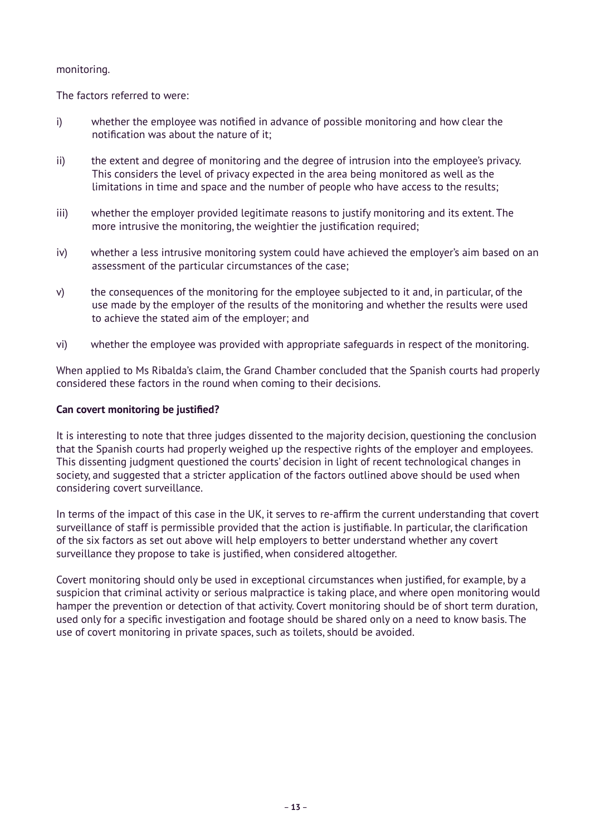#### monitoring.

The factors referred to were:

- i) whether the employee was notified in advance of possible monitoring and how clear the notification was about the nature of it;
- ii) the extent and degree of monitoring and the degree of intrusion into the employee's privacy. This considers the level of privacy expected in the area being monitored as well as the limitations in time and space and the number of people who have access to the results;
- iii) whether the employer provided legitimate reasons to justify monitoring and its extent. The more intrusive the monitoring, the weightier the justification required;
- iv) whether a less intrusive monitoring system could have achieved the employer's aim based on an assessment of the particular circumstances of the case;
- v) the consequences of the monitoring for the employee subjected to it and, in particular, of the use made by the employer of the results of the monitoring and whether the results were used to achieve the stated aim of the employer; and
- vi) whether the employee was provided with appropriate safeguards in respect of the monitoring.

When applied to Ms Ribalda's claim, the Grand Chamber concluded that the Spanish courts had properly considered these factors in the round when coming to their decisions.

#### **Can covert monitoring be justified?**

It is interesting to note that three judges dissented to the majority decision, questioning the conclusion that the Spanish courts had properly weighed up the respective rights of the employer and employees. This dissenting judgment questioned the courts' decision in light of recent technological changes in society, and suggested that a stricter application of the factors outlined above should be used when considering covert surveillance.

In terms of the impact of this case in the UK, it serves to re-affirm the current understanding that covert surveillance of staff is permissible provided that the action is justifiable. In particular, the clarification of the six factors as set out above will help employers to better understand whether any covert surveillance they propose to take is justified, when considered altogether.

Covert monitoring should only be used in exceptional circumstances when justified, for example, by a suspicion that criminal activity or serious malpractice is taking place, and where open monitoring would hamper the prevention or detection of that activity. Covert monitoring should be of short term duration, used only for a specific investigation and footage should be shared only on a need to know basis. The use of covert monitoring in private spaces, such as toilets, should be avoided.